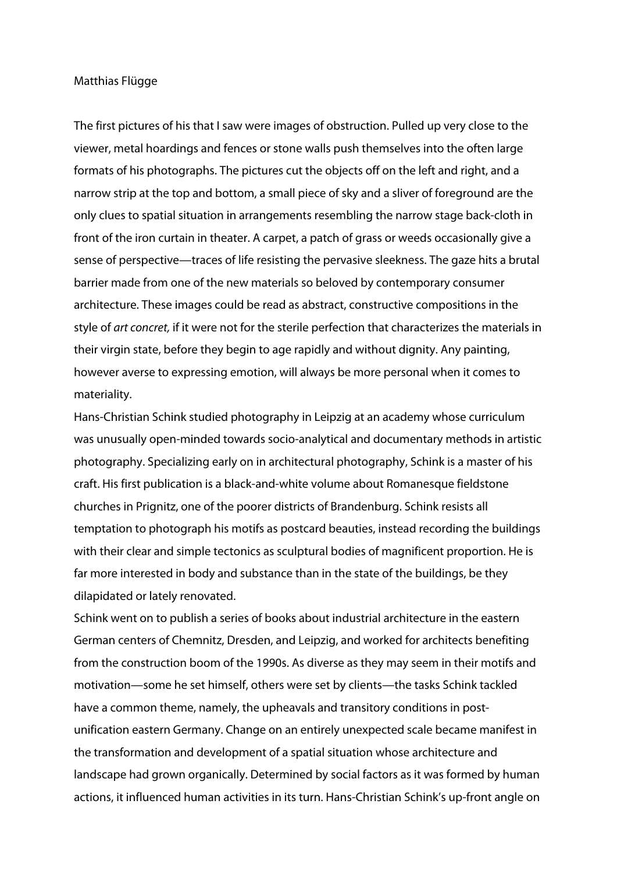## Matthias Flügge

The first pictures of his that I saw were images of obstruction. Pulled up very close to the viewer, metal hoardings and fences or stone walls push themselves into the often large formats of his photographs. The pictures cut the objects off on the left and right, and a narrow strip at the top and bottom, a small piece of sky and a sliver of foreground are the only clues to spatial situation in arrangements resembling the narrow stage back-cloth in front of the iron curtain in theater. A carpet, a patch of grass or weeds occasionally give a sense of perspective—traces of life resisting the pervasive sleekness. The gaze hits a brutal barrier made from one of the new materials so beloved by contemporary consumer architecture. These images could be read as abstract, constructive compositions in the style of art concret, if it were not for the sterile perfection that characterizes the materials in their virgin state, before they begin to age rapidly and without dignity. Any painting, however averse to expressing emotion, will always be more personal when it comes to materiality.

Hans-Christian Schink studied photography in Leipzig at an academy whose curriculum was unusually open-minded towards socio-analytical and documentary methods in artistic photography. Specializing early on in architectural photography, Schink is a master of his craft. His first publication is a black-and-white volume about Romanesque fieldstone churches in Prignitz, one of the poorer districts of Brandenburg. Schink resists all temptation to photograph his motifs as postcard beauties, instead recording the buildings with their clear and simple tectonics as sculptural bodies of magnificent proportion. He is far more interested in body and substance than in the state of the buildings, be they dilapidated or lately renovated.

Schink went on to publish a series of books about industrial architecture in the eastern German centers of Chemnitz, Dresden, and Leipzig, and worked for architects benefiting from the construction boom of the 1990s. As diverse as they may seem in their motifs and motivation—some he set himself, others were set by clients—the tasks Schink tackled have a common theme, namely, the upheavals and transitory conditions in postunification eastern Germany. Change on an entirely unexpected scale became manifest in the transformation and development of a spatial situation whose architecture and landscape had grown organically. Determined by social factors as it was formed by human actions, it influenced human activities in its turn. Hans-Christian Schink's up-front angle on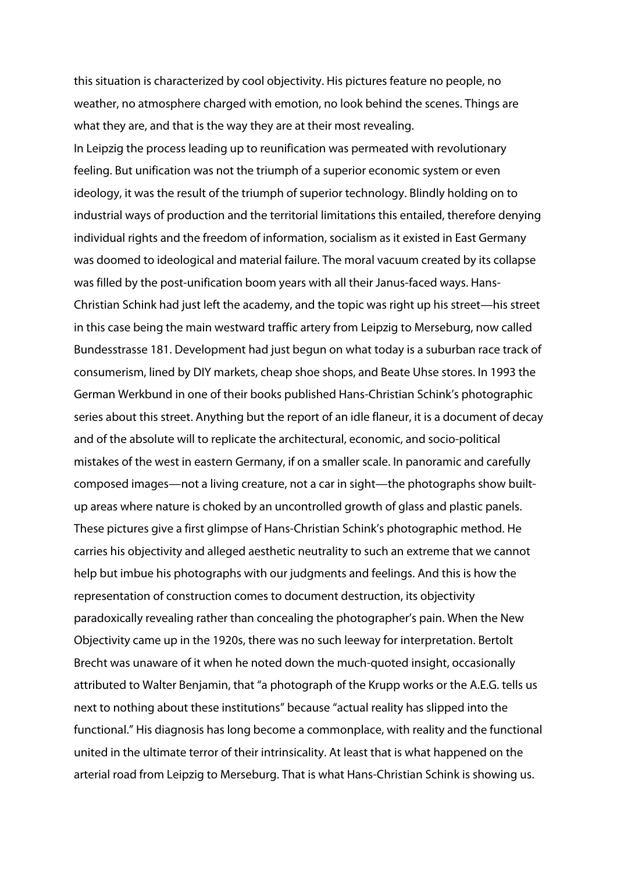this situation is characterized by cool objectivity. His pictures feature no people, no weather, no atmosphere charged with emotion, no look behind the scenes. Things are what they are, and that is the way they are at their most revealing.

In Leipzig the process leading up to reunification was permeated with revolutionary feeling. But unification was not the triumph of a superior economic system or even ideology, it was the result of the triumph of superior technology. Blindly holding on to industrial ways of production and the territorial limitations this entailed, therefore denying individual rights and the freedom of information, socialism as it existed in East Germany was doomed to ideological and material failure. The moral vacuum created by its collapse was filled by the post-unification boom years with all their Janus-faced ways. Hans-Christian Schink had just left the academy, and the topic was right up his street—his street in this case being the main westward traffic artery from Leipzig to Merseburg, now called Bundesstrasse 181. Development had just begun on what today is a suburban race track of consumerism, lined by DIY markets, cheap shoe shops, and Beate Uhse stores. In 1993 the German Werkbund in one of their books published Hans-Christian Schink's photographic series about this street. Anything but the report of an idle flaneur, it is a document of decay and of the absolute will to replicate the architectural, economic, and socio-political mistakes of the west in eastern Germany, if on a smaller scale. In panoramic and carefully composed images—not a living creature, not a car in sight—the photographs show builtup areas where nature is choked by an uncontrolled growth of glass and plastic panels. These pictures give a first glimpse of Hans-Christian Schink's photographic method. He carries his objectivity and alleged aesthetic neutrality to such an extreme that we cannot help but imbue his photographs with our judgments and feelings. And this is how the representation of construction comes to document destruction, its objectivity paradoxically revealing rather than concealing the photographer's pain. When the New Objectivity came up in the 1920s, there was no such leeway for interpretation. Bertolt Brecht was unaware of it when he noted down the much-quoted insight, occasionally attributed to Walter Benjamin, that "a photograph of the Krupp works or the A.E.G. tells us next to nothing about these institutions" because "actual reality has slipped into the functional." His diagnosis has long become a commonplace, with reality and the functional united in the ultimate terror of their intrinsicality. At least that is what happened on the arterial road from Leipzig to Merseburg. That is what Hans-Christian Schink is showing us.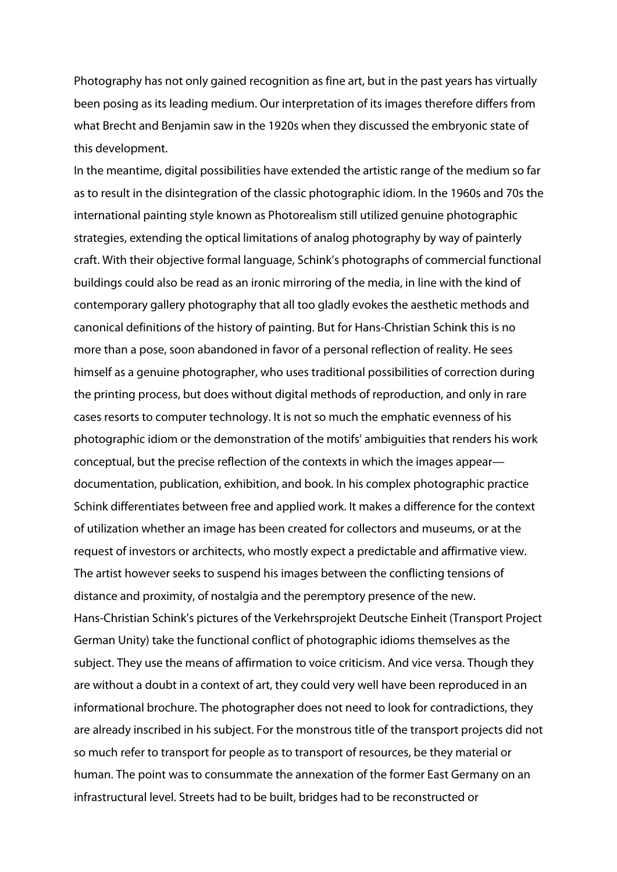Photography has not only gained recognition as fine art, but in the past years has virtually been posing as its leading medium. Our interpretation of its images therefore differs from what Brecht and Benjamin saw in the 1920s when they discussed the embryonic state of this development.

In the meantime, digital possibilities have extended the artistic range of the medium so far as to result in the disintegration of the classic photographic idiom. In the 1960s and 70s the international painting style known as Photorealism still utilized genuine photographic strategies, extending the optical limitations of analog photography by way of painterly craft. With their objective formal language, Schink's photographs of commercial functional buildings could also be read as an ironic mirroring of the media, in line with the kind of contemporary gallery photography that all too gladly evokes the aesthetic methods and canonical definitions of the history of painting. But for Hans-Christian Schink this is no more than a pose, soon abandoned in favor of a personal reflection of reality. He sees himself as a genuine photographer, who uses traditional possibilities of correction during the printing process, but does without digital methods of reproduction, and only in rare cases resorts to computer technology. It is not so much the emphatic evenness of his photographic idiom or the demonstration of the motifs' ambiguities that renders his work conceptual, but the precise reflection of the contexts in which the images appear documentation, publication, exhibition, and book. In his complex photographic practice Schink differentiates between free and applied work. It makes a difference for the context of utilization whether an image has been created for collectors and museums, or at the request of investors or architects, who mostly expect a predictable and affirmative view. The artist however seeks to suspend his images between the conflicting tensions of distance and proximity, of nostalgia and the peremptory presence of the new. Hans-Christian Schink's pictures of the Verkehrsprojekt Deutsche Einheit (Transport Project German Unity) take the functional conflict of photographic idioms themselves as the subject. They use the means of affirmation to voice criticism. And vice versa. Though they are without a doubt in a context of art, they could very well have been reproduced in an informational brochure. The photographer does not need to look for contradictions, they are already inscribed in his subject. For the monstrous title of the transport projects did not so much refer to transport for people as to transport of resources, be they material or human. The point was to consummate the annexation of the former East Germany on an infrastructural level. Streets had to be built, bridges had to be reconstructed or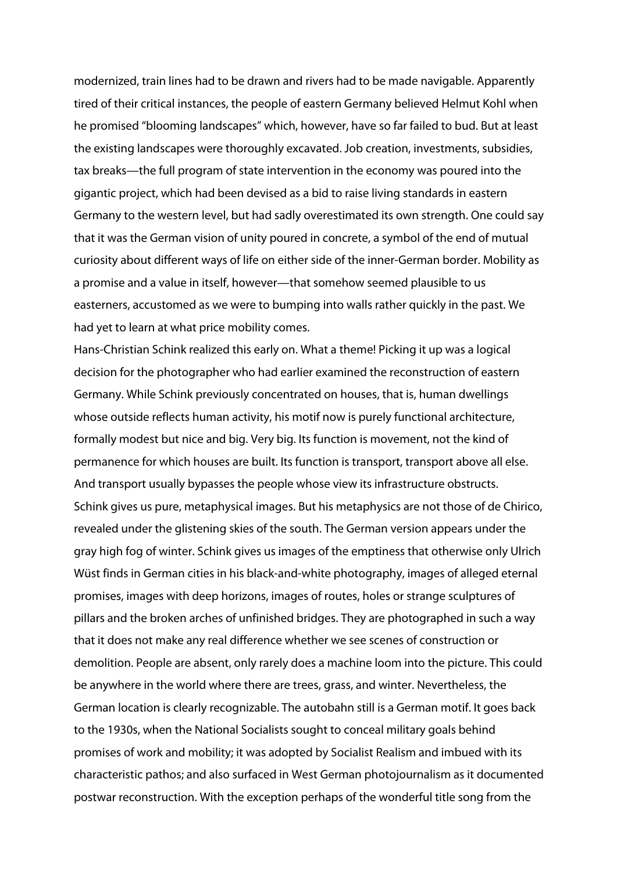modernized, train lines had to be drawn and rivers had to be made navigable. Apparently tired of their critical instances, the people of eastern Germany believed Helmut Kohl when he promised "blooming landscapes" which, however, have so far failed to bud. But at least the existing landscapes were thoroughly excavated. Job creation, investments, subsidies, tax breaks—the full program of state intervention in the economy was poured into the gigantic project, which had been devised as a bid to raise living standards in eastern Germany to the western level, but had sadly overestimated its own strength. One could say that it was the German vision of unity poured in concrete, a symbol of the end of mutual curiosity about different ways of life on either side of the inner-German border. Mobility as a promise and a value in itself, however—that somehow seemed plausible to us easterners, accustomed as we were to bumping into walls rather quickly in the past. We had yet to learn at what price mobility comes.

Hans-Christian Schink realized this early on. What a theme! Picking it up was a logical decision for the photographer who had earlier examined the reconstruction of eastern Germany. While Schink previously concentrated on houses, that is, human dwellings whose outside reflects human activity, his motif now is purely functional architecture, formally modest but nice and big. Very big. Its function is movement, not the kind of permanence for which houses are built. Its function is transport, transport above all else. And transport usually bypasses the people whose view its infrastructure obstructs. Schink gives us pure, metaphysical images. But his metaphysics are not those of de Chirico, revealed under the glistening skies of the south. The German version appears under the gray high fog of winter. Schink gives us images of the emptiness that otherwise only Ulrich Wüst finds in German cities in his black-and-white photography, images of alleged eternal promises, images with deep horizons, images of routes, holes or strange sculptures of pillars and the broken arches of unfinished bridges. They are photographed in such a way that it does not make any real difference whether we see scenes of construction or demolition. People are absent, only rarely does a machine loom into the picture. This could be anywhere in the world where there are trees, grass, and winter. Nevertheless, the German location is clearly recognizable. The autobahn still is a German motif. It goes back to the 1930s, when the National Socialists sought to conceal military goals behind promises of work and mobility; it was adopted by Socialist Realism and imbued with its characteristic pathos; and also surfaced in West German photojournalism as it documented postwar reconstruction. With the exception perhaps of the wonderful title song from the